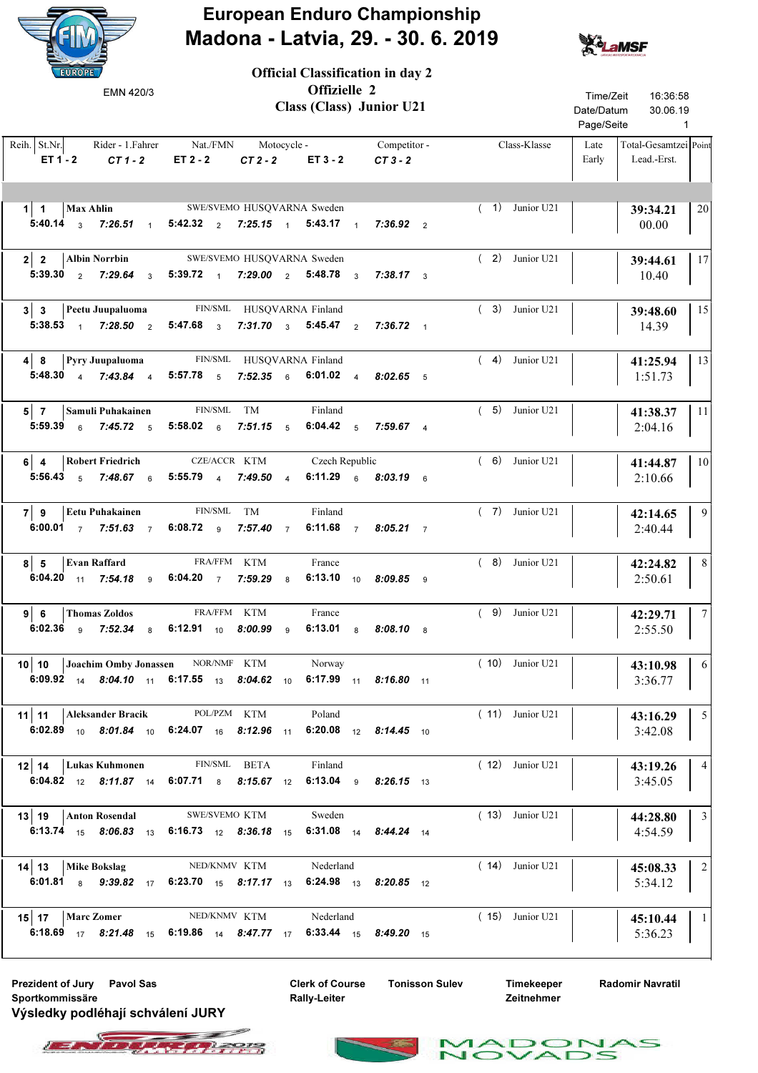

European Enduro Championship Madona - Latvia, 29. - 30. 6. 2019

Official Classification in day 2



| EMN 420/3                                                                                                                                                                           |                            | Offizielle 2<br>Class (Class) Junior U21 |  | Time/Zeit<br>16:36:58<br>Date/Datum<br>30.06.19<br>Page/Seite<br>$\sim$ 1 |                                                       |
|-------------------------------------------------------------------------------------------------------------------------------------------------------------------------------------|----------------------------|------------------------------------------|--|---------------------------------------------------------------------------|-------------------------------------------------------|
| Reih. St.Nr. Rider - 1. Fahrer Nat./FMN Motocycle Competitor -<br>$ET 1 - 2$ $CT 1 - 2$                                                                                             | ET2-2 CT2-2 ET3-2 CT3-2    |                                          |  | Class-Klasse                                                              | Late<br>Total-Gesamtzei Point<br>Lead.-Erst.<br>Early |
| 1   1   Max Ahlin SWE/SVEMO HUSQVARNA Sweden<br>5:40.14 $\frac{3}{3}$ 7:26.51 $\frac{1}{1}$ 5:42.32 $\frac{2}{2}$ 7:25.15 $\frac{1}{1}$ 5:43.17 $\frac{1}{1}$ 7:36.92 $\frac{2}{2}$ |                            |                                          |  | $(1)$ Junior U21                                                          | 20<br>39:34.21<br>00.00                               |
| $2 \mid 2$<br><b>Albin Norrbin</b><br>5:39.30 2 7:29.64 3 5:39.72 1 7:29.00 2 5:48.78 3 7:38.17 3                                                                                   | SWE/SVEMO HUSQVARNA Sweden |                                          |  | $(2)$ Junior U21                                                          | 17<br>39:44.61<br>10.40                               |
| 3 3 Peetu Juupaluoma<br>5:38.53 1 7:28.50 2 5:47.68 3 7:31.70 3 5:45.47 2 7:36.72 1                                                                                                 | FIN/SML HUSQVARNA Finland  |                                          |  | $(3)$ Junior U21                                                          | 15<br>39:48.60<br>14.39                               |
| 4 8 Pyry Juupaluoma FIN/SML HUSQVARNA Finland<br>5:48.30 4 7:43.84 4 5:57.78 5 7:52.35 6 6:01.02 4 8:02.65 5                                                                        |                            |                                          |  | $(4)$ Junior U21                                                          | 13<br>41:25.94<br>1:51.73                             |
| 5 7 Samuli Puhakainen FIN/SML TM<br>5:59.39 $\frac{6}{6}$ 7:45.72 $\frac{5}{6}$ 5:58.02 $\frac{6}{6}$ 7:51.15 $\frac{5}{6}$ 6:04.42 $\frac{5}{6}$ 7:59.67 $\frac{4}{6}$             |                            | Finland                                  |  | $(5)$ Junior U21                                                          | -11<br>41:38.37<br>2:04.16                            |
| 6 4 Robert Friedrich CZE/ACCR KTM Czech Republic<br>5:56.43 5 7:48.67 6 5:55.79 4 7:49.50 4 6:11.29 6 8:03.19 6                                                                     |                            |                                          |  | $(6)$ Junior U21                                                          | 10<br>41:44.87<br>2:10.66                             |
| Eetu Puhakainen<br>79<br>6:00.01 7 7:51.63 7 6:08.72 9 7:57.40 7 6:11.68 7 8:05.21 7                                                                                                | FIN/SML TM                 | Finland                                  |  | $(7)$ Junior U21                                                          | 9<br>42:14.65<br>2:40.44                              |
| $8 \mid 5$<br><b>Evan Raffard</b><br>6:04.20 11 7:54.18 9 6:04.20 7 7:59.29 8 6:13.10 10 8:09.85 9                                                                                  | FRA/FFM KTM                | France                                   |  | $(8)$ Junior U21                                                          | 8<br>42:24.82<br>2:50.61                              |
| $9 \mid 6$<br>Thomas Zoldos<br>6:02.36 9 7:52.34 8 6:12.91 10 8:00.99 9 6:13.01 8 8:08.10 8                                                                                         | FRA/FFM KTM                | France                                   |  | $(9)$ Junior U21                                                          | $7\overline{ }$<br>42:29.71<br>2:55.50                |
| <b>10   Joachim Omby Jonassen</b> NOR/NMF KTM Norway<br>6:09.92 14 8:04.10 11 6:17.55 13 8:04.62 10 6:17.99 11 8:16.80 11                                                           |                            |                                          |  | $(10)$ Junior U21                                                         | 6<br>43:10.98<br>3:36.77                              |
| 11   11<br>Aleksander Bracik<br>6:02.89 10 8:01.84 10 6:24.07 16 8:12.96 11 6:20.08 12 8:14.45 10                                                                                   | POL/PZM KTM                | Poland                                   |  | $(11)$ Junior U21                                                         | 5<br>43:16.29<br>3:42.08                              |
| Lukas Kuhmonen<br>12   14<br>6:04.82 12 8:11.87 14 6:07.71 8 8:15.67 12 6:13.04 9 8:26.15 13                                                                                        | FIN/SML BETA               | Finland                                  |  | $(12)$ Junior U21                                                         | $\overline{4}$<br>43:19.26<br>3:45.05                 |
| 13   19   Anton Rosendal<br>6:13.74 15 8:06.83 13 6:16.73 12 8:36.18 15 6:31.08 14 8:44.24 14                                                                                       | SWE/SVEMO KTM              | Sweden                                   |  | $(13)$ Junior U21                                                         | 3<br>44:28.80<br>4:54.59                              |
| 14 13<br>Mike Bokslag<br>6:01.81 8 9:39.82 17 6:23.70 15 8:17.17 13 6:24.98 13 8:20.85 12                                                                                           | NED/KNMV KTM               | Nederland                                |  | $(14)$ Junior U21                                                         | $\overline{2}$<br>45:08.33<br>5:34.12                 |
| $15$   17   Marc Zomer<br>6:18.69 $17$ 8:21.48 $15$ 6:19.86 $14$ 8:47.77 $17$ 6:33.44 $15$ 8:49.20 $15$                                                                             | NED/KNMV KTM               | Nederland                                |  | $(15)$ Junior U21                                                         | $\overline{1}$<br>45:10.44<br>5:36.23                 |

Prezident of Jury Pavol Sas The Clerk of Course Tonisson Sulev Sportkommissäre Výsledky podléhají schválení JURY



Timekeeper Zeitnehmer

Radomir Navratil

S